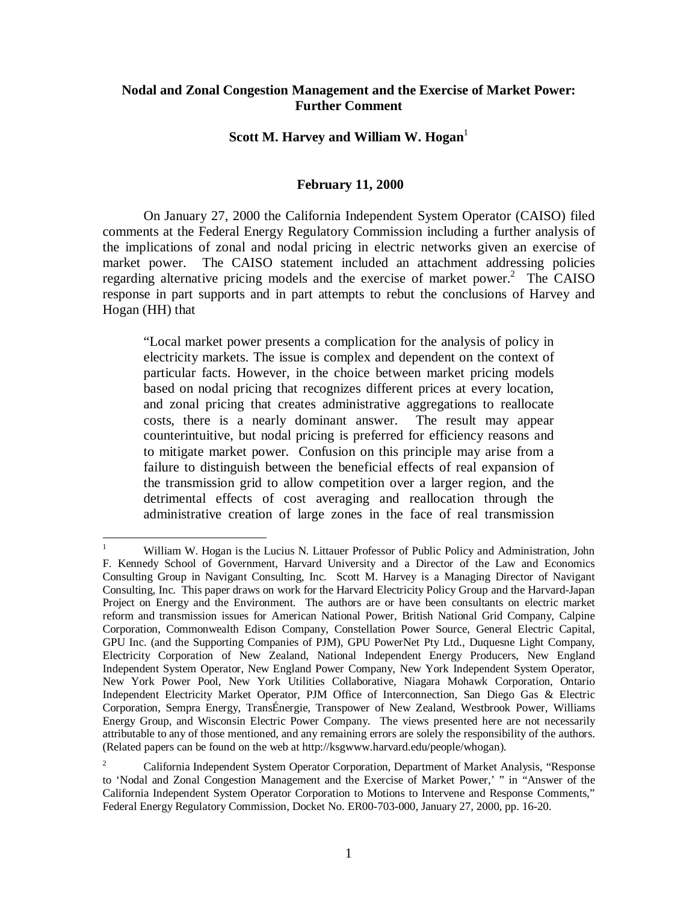## **Nodal and Zonal Congestion Management and the Exercise of Market Power: Further Comment**

## **Scott M. Harvey and William W. Hogan**<sup>1</sup>

## **February 11, 2000**

On January 27, 2000 the California Independent System Operator (CAISO) filed comments at the Federal Energy Regulatory Commission including a further analysis of the implications of zonal and nodal pricing in electric networks given an exercise of market power. The CAISO statement included an attachment addressing policies regarding alternative pricing models and the exercise of market power. $2$  The CAISO response in part supports and in part attempts to rebut the conclusions of Harvey and Hogan (HH) that

"Local market power presents a complication for the analysis of policy in electricity markets. The issue is complex and dependent on the context of particular facts. However, in the choice between market pricing models based on nodal pricing that recognizes different prices at every location, and zonal pricing that creates administrative aggregations to reallocate costs, there is a nearly dominant answer. The result may appear counterintuitive, but nodal pricing is preferred for efficiency reasons and to mitigate market power. Confusion on this principle may arise from a failure to distinguish between the beneficial effects of real expansion of the transmission grid to allow competition over a larger region, and the detrimental effects of cost averaging and reallocation through the administrative creation of large zones in the face of real transmission

 $\overline{a}$ 

<sup>1</sup> William W. Hogan is the Lucius N. Littauer Professor of Public Policy and Administration, John F. Kennedy School of Government, Harvard University and a Director of the Law and Economics Consulting Group in Navigant Consulting, Inc. Scott M. Harvey is a Managing Director of Navigant Consulting, Inc. This paper draws on work for the Harvard Electricity Policy Group and the Harvard-Japan Project on Energy and the Environment. The authors are or have been consultants on electric market reform and transmission issues for American National Power, British National Grid Company, Calpine Corporation, Commonwealth Edison Company, Constellation Power Source, General Electric Capital, GPU Inc. (and the Supporting Companies of PJM), GPU PowerNet Pty Ltd., Duquesne Light Company, Electricity Corporation of New Zealand, National Independent Energy Producers, New England Independent System Operator, New England Power Company, New York Independent System Operator, New York Power Pool, New York Utilities Collaborative, Niagara Mohawk Corporation, Ontario Independent Electricity Market Operator, PJM Office of Interconnection, San Diego Gas & Electric Corporation, Sempra Energy, TransÉnergie, Transpower of New Zealand, Westbrook Power, Williams Energy Group, and Wisconsin Electric Power Company. The views presented here are not necessarily attributable to any of those mentioned, and any remaining errors are solely the responsibility of the authors. (Related papers can be found on the web at http://ksgwww.harvard.edu/people/whogan).

<sup>2</sup> California Independent System Operator Corporation, Department of Market Analysis, "Response to 'Nodal and Zonal Congestion Management and the Exercise of Market Power,' " in "Answer of the California Independent System Operator Corporation to Motions to Intervene and Response Comments," Federal Energy Regulatory Commission, Docket No. ER00-703-000, January 27, 2000, pp. 16-20.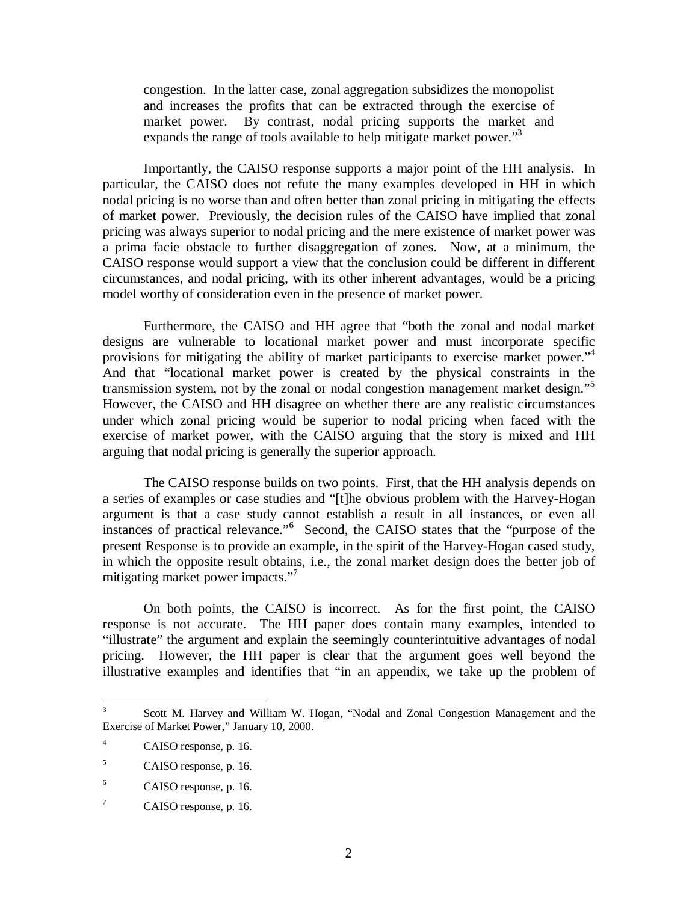congestion. In the latter case, zonal aggregation subsidizes the monopolist and increases the profits that can be extracted through the exercise of market power. By contrast, nodal pricing supports the market and expands the range of tools available to help mitigate market power."<sup>3</sup>

Importantly, the CAISO response supports a major point of the HH analysis. In particular, the CAISO does not refute the many examples developed in HH in which nodal pricing is no worse than and often better than zonal pricing in mitigating the effects of market power. Previously, the decision rules of the CAISO have implied that zonal pricing was always superior to nodal pricing and the mere existence of market power was a prima facie obstacle to further disaggregation of zones. Now, at a minimum, the CAISO response would support a view that the conclusion could be different in different circumstances, and nodal pricing, with its other inherent advantages, would be a pricing model worthy of consideration even in the presence of market power.

Furthermore, the CAISO and HH agree that "both the zonal and nodal market designs are vulnerable to locational market power and must incorporate specific provisions for mitigating the ability of market participants to exercise market power."<sup>4</sup> And that "locational market power is created by the physical constraints in the transmission system, not by the zonal or nodal congestion management market design."<sup>5</sup> However, the CAISO and HH disagree on whether there are any realistic circumstances under which zonal pricing would be superior to nodal pricing when faced with the exercise of market power, with the CAISO arguing that the story is mixed and HH arguing that nodal pricing is generally the superior approach.

The CAISO response builds on two points. First, that the HH analysis depends on a series of examples or case studies and "[t]he obvious problem with the Harvey-Hogan argument is that a case study cannot establish a result in all instances, or even all instances of practical relevance."<sup>6</sup> Second, the CAISO states that the "purpose of the present Response is to provide an example, in the spirit of the Harvey-Hogan cased study, in which the opposite result obtains, i.e., the zonal market design does the better job of mitigating market power impacts." 7

On both points, the CAISO is incorrect. As for the first point, the CAISO response is not accurate. The HH paper does contain many examples, intended to "illustrate" the argument and explain the seemingly counterintuitive advantages of nodal pricing. However, the HH paper is clear that the argument goes well beyond the illustrative examples and identifies that "in an appendix, we take up the problem of

<sup>&</sup>lt;sup>2</sup><br>3 Scott M. Harvey and William W. Hogan, "Nodal and Zonal Congestion Management and the Exercise of Market Power," January 10, 2000.

<sup>4</sup> CAISO response, p. 16.

<sup>5</sup> CAISO response, p. 16.

<sup>6</sup> CAISO response, p. 16.

<sup>7</sup> CAISO response, p. 16.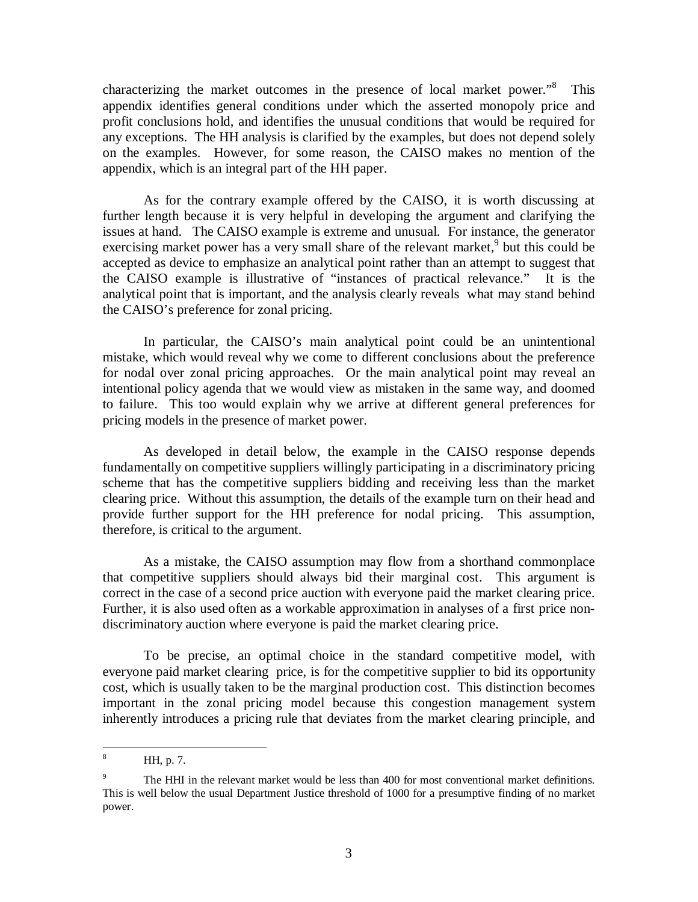characterizing the market outcomes in the presence of local market power."<sup>8</sup> This appendix identifies general conditions under which the asserted monopoly price and profit conclusions hold, and identifies the unusual conditions that would be required for any exceptions. The HH analysis is clarified by the examples, but does not depend solely on the examples. However, for some reason, the CAISO makes no mention of the appendix, which is an integral part of the HH paper.

As for the contrary example offered by the CAISO, it is worth discussing at further length because it is very helpful in developing the argument and clarifying the issues at hand. The CAISO example is extreme and unusual. For instance, the generator exercising market power has a very small share of the relevant market, $9$  but this could be accepted as device to emphasize an analytical point rather than an attempt to suggest that the CAISO example is illustrative of "instances of practical relevance." It is the analytical point that is important, and the analysis clearly reveals what may stand behind the CAISO's preference for zonal pricing.

In particular, the CAISO's main analytical point could be an unintentional mistake, which would reveal why we come to different conclusions about the preference for nodal over zonal pricing approaches. Or the main analytical point may reveal an intentional policy agenda that we would view as mistaken in the same way, and doomed to failure. This too would explain why we arrive at different general preferences for pricing models in the presence of market power.

As developed in detail below, the example in the CAISO response depends fundamentally on competitive suppliers willingly participating in a discriminatory pricing scheme that has the competitive suppliers bidding and receiving less than the market clearing price. Without this assumption, the details of the example turn on their head and provide further support for the HH preference for nodal pricing. This assumption, therefore, is critical to the argument.

As a mistake, the CAISO assumption may flow from a shorthand commonplace that competitive suppliers should always bid their marginal cost. This argument is correct in the case of a second price auction with everyone paid the market clearing price. Further, it is also used often as a workable approximation in analyses of a first price nondiscriminatory auction where everyone is paid the market clearing price.

To be precise, an optimal choice in the standard competitive model, with everyone paid market clearing price, is for the competitive supplier to bid its opportunity cost, which is usually taken to be the marginal production cost. This distinction becomes important in the zonal pricing model because this congestion management system inherently introduces a pricing rule that deviates from the market clearing principle, and

 8 HH, p. 7.

<sup>9</sup> The HHI in the relevant market would be less than 400 for most conventional market definitions. This is well below the usual Department Justice threshold of 1000 for a presumptive finding of no market power.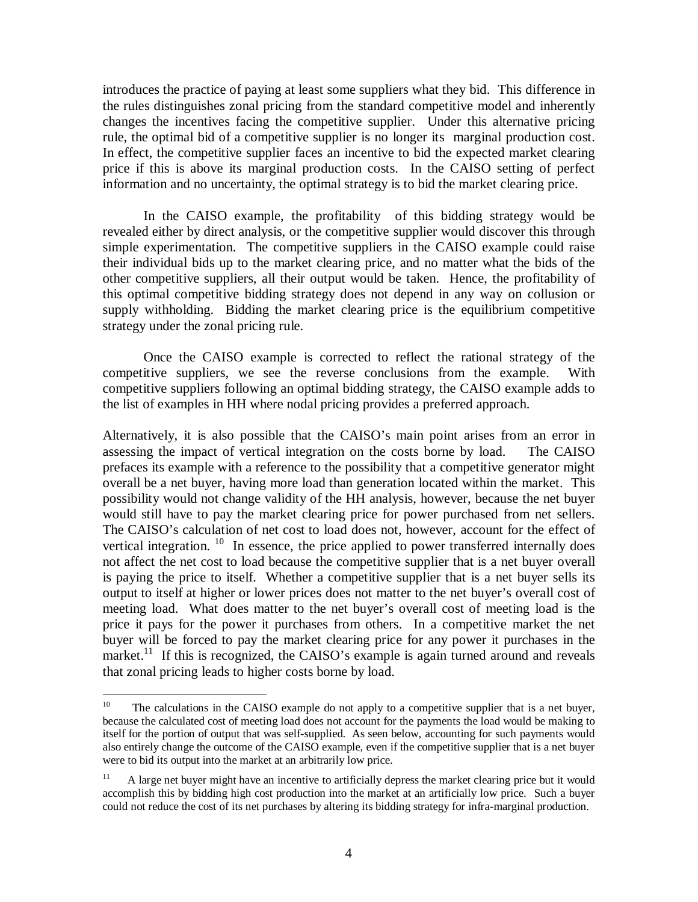introduces the practice of paying at least some suppliers what they bid. This difference in the rules distinguishes zonal pricing from the standard competitive model and inherently changes the incentives facing the competitive supplier. Under this alternative pricing rule, the optimal bid of a competitive supplier is no longer its marginal production cost. In effect, the competitive supplier faces an incentive to bid the expected market clearing price if this is above its marginal production costs. In the CAISO setting of perfect information and no uncertainty, the optimal strategy is to bid the market clearing price.

In the CAISO example, the profitability of this bidding strategy would be revealed either by direct analysis, or the competitive supplier would discover this through simple experimentation. The competitive suppliers in the CAISO example could raise their individual bids up to the market clearing price, and no matter what the bids of the other competitive suppliers, all their output would be taken. Hence, the profitability of this optimal competitive bidding strategy does not depend in any way on collusion or supply withholding. Bidding the market clearing price is the equilibrium competitive strategy under the zonal pricing rule.

Once the CAISO example is corrected to reflect the rational strategy of the competitive suppliers, we see the reverse conclusions from the example. With competitive suppliers following an optimal bidding strategy, the CAISO example adds to the list of examples in HH where nodal pricing provides a preferred approach.

Alternatively, it is also possible that the CAISO's main point arises from an error in assessing the impact of vertical integration on the costs borne by load. The CAISO prefaces its example with a reference to the possibility that a competitive generator might overall be a net buyer, having more load than generation located within the market. This possibility would not change validity of the HH analysis, however, because the net buyer would still have to pay the market clearing price for power purchased from net sellers. The CAISO's calculation of net cost to load does not, however, account for the effect of vertical integration.  $10$  In essence, the price applied to power transferred internally does not affect the net cost to load because the competitive supplier that is a net buyer overall is paying the price to itself. Whether a competitive supplier that is a net buyer sells its output to itself at higher or lower prices does not matter to the net buyer's overall cost of meeting load. What does matter to the net buyer's overall cost of meeting load is the price it pays for the power it purchases from others. In a competitive market the net buyer will be forced to pay the market clearing price for any power it purchases in the market.<sup>11</sup> If this is recognized, the CAISO's example is again turned around and reveals that zonal pricing leads to higher costs borne by load.

 $10<sup>10</sup>$ 10 The calculations in the CAISO example do not apply to a competitive supplier that is a net buyer, because the calculated cost of meeting load does not account for the payments the load would be making to itself for the portion of output that was self-supplied. As seen below, accounting for such payments would also entirely change the outcome of the CAISO example, even if the competitive supplier that is a net buyer were to bid its output into the market at an arbitrarily low price.

<sup>&</sup>lt;sup>11</sup> A large net buyer might have an incentive to artificially depress the market clearing price but it would accomplish this by bidding high cost production into the market at an artificially low price. Such a buyer could not reduce the cost of its net purchases by altering its bidding strategy for infra-marginal production.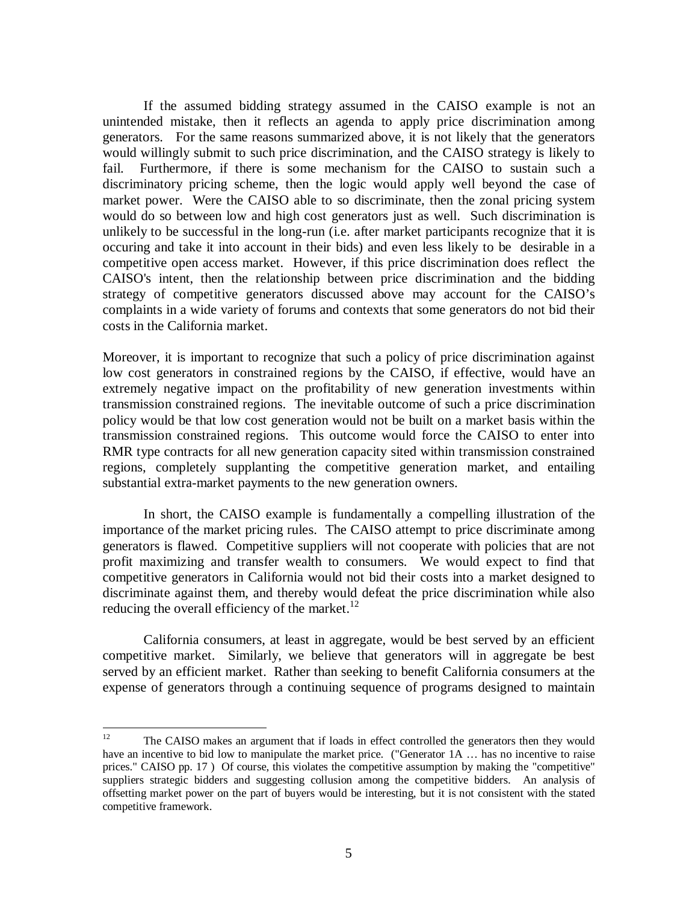If the assumed bidding strategy assumed in the CAISO example is not an unintended mistake, then it reflects an agenda to apply price discrimination among generators. For the same reasons summarized above, it is not likely that the generators would willingly submit to such price discrimination, and the CAISO strategy is likely to fail. Furthermore, if there is some mechanism for the CAISO to sustain such a discriminatory pricing scheme, then the logic would apply well beyond the case of market power. Were the CAISO able to so discriminate, then the zonal pricing system would do so between low and high cost generators just as well. Such discrimination is unlikely to be successful in the long-run (i.e. after market participants recognize that it is occuring and take it into account in their bids) and even less likely to be desirable in a competitive open access market. However, if this price discrimination does reflect the CAISO's intent, then the relationship between price discrimination and the bidding strategy of competitive generators discussed above may account for the CAISO's complaints in a wide variety of forums and contexts that some generators do not bid their costs in the California market.

Moreover, it is important to recognize that such a policy of price discrimination against low cost generators in constrained regions by the CAISO, if effective, would have an extremely negative impact on the profitability of new generation investments within transmission constrained regions. The inevitable outcome of such a price discrimination policy would be that low cost generation would not be built on a market basis within the transmission constrained regions. This outcome would force the CAISO to enter into RMR type contracts for all new generation capacity sited within transmission constrained regions, completely supplanting the competitive generation market, and entailing substantial extra-market payments to the new generation owners.

In short, the CAISO example is fundamentally a compelling illustration of the importance of the market pricing rules. The CAISO attempt to price discriminate among generators is flawed. Competitive suppliers will not cooperate with policies that are not profit maximizing and transfer wealth to consumers. We would expect to find that competitive generators in California would not bid their costs into a market designed to discriminate against them, and thereby would defeat the price discrimination while also reducing the overall efficiency of the market. $12$ 

California consumers, at least in aggregate, would be best served by an efficient competitive market. Similarly, we believe that generators will in aggregate be best served by an efficient market. Rather than seeking to benefit California consumers at the expense of generators through a continuing sequence of programs designed to maintain

 $12$ 12 The CAISO makes an argument that if loads in effect controlled the generators then they would have an incentive to bid low to manipulate the market price. ("Generator 1A ... has no incentive to raise prices." CAISO pp. 17 ) Of course, this violates the competitive assumption by making the "competitive" suppliers strategic bidders and suggesting collusion among the competitive bidders. An analysis of offsetting market power on the part of buyers would be interesting, but it is not consistent with the stated competitive framework.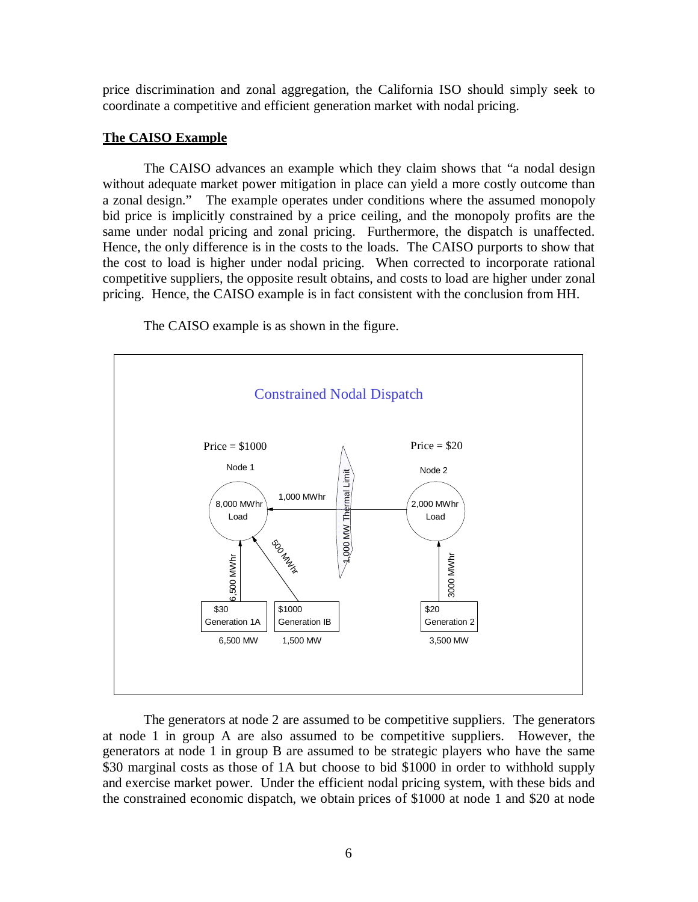price discrimination and zonal aggregation, the California ISO should simply seek to coordinate a competitive and efficient generation market with nodal pricing.

## **The CAISO Example**

The CAISO advances an example which they claim shows that "a nodal design without adequate market power mitigation in place can yield a more costly outcome than a zonal design." The example operates under conditions where the assumed monopoly bid price is implicitly constrained by a price ceiling, and the monopoly profits are the same under nodal pricing and zonal pricing. Furthermore, the dispatch is unaffected. Hence, the only difference is in the costs to the loads. The CAISO purports to show that the cost to load is higher under nodal pricing. When corrected to incorporate rational competitive suppliers, the opposite result obtains, and costs to load are higher under zonal pricing. Hence, the CAISO example is in fact consistent with the conclusion from HH.

The CAISO example is as shown in the figure.



The generators at node 2 are assumed to be competitive suppliers. The generators at node 1 in group A are also assumed to be competitive suppliers. However, the generators at node 1 in group B are assumed to be strategic players who have the same \$30 marginal costs as those of 1A but choose to bid \$1000 in order to withhold supply and exercise market power. Under the efficient nodal pricing system, with these bids and the constrained economic dispatch, we obtain prices of \$1000 at node 1 and \$20 at node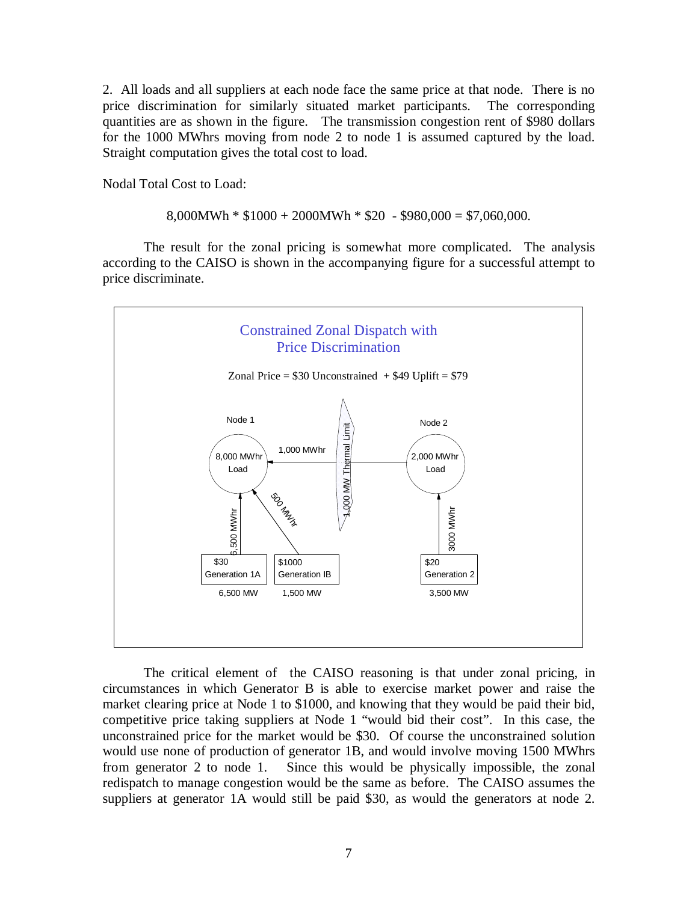2. All loads and all suppliers at each node face the same price at that node. There is no price discrimination for similarly situated market participants. The corresponding quantities are as shown in the figure. The transmission congestion rent of \$980 dollars for the 1000 MWhrs moving from node 2 to node 1 is assumed captured by the load. Straight computation gives the total cost to load.

Nodal Total Cost to Load:

 $8,000MWh * $1000 + 2000MWh * $20 - $980,000 = $7,060,000$ .

The result for the zonal pricing is somewhat more complicated. The analysis according to the CAISO is shown in the accompanying figure for a successful attempt to price discriminate.



The critical element of the CAISO reasoning is that under zonal pricing, in circumstances in which Generator B is able to exercise market power and raise the market clearing price at Node 1 to \$1000, and knowing that they would be paid their bid, competitive price taking suppliers at Node 1 "would bid their cost". In this case, the unconstrained price for the market would be \$30. Of course the unconstrained solution would use none of production of generator 1B, and would involve moving 1500 MWhrs from generator 2 to node 1. Since this would be physically impossible, the zonal redispatch to manage congestion would be the same as before. The CAISO assumes the suppliers at generator 1A would still be paid \$30, as would the generators at node 2.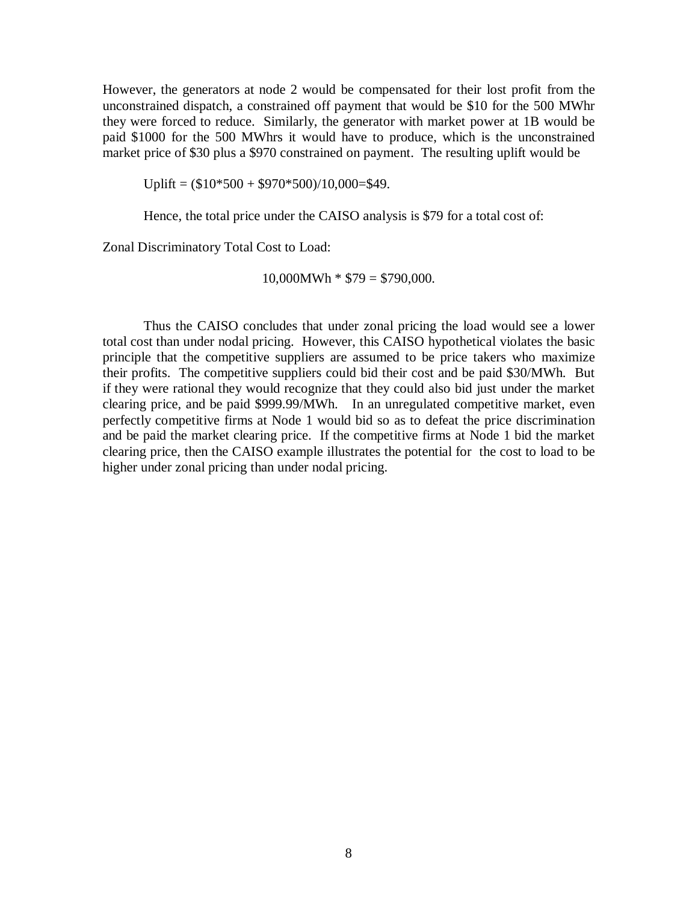However, the generators at node 2 would be compensated for their lost profit from the unconstrained dispatch, a constrained off payment that would be \$10 for the 500 MWhr they were forced to reduce. Similarly, the generator with market power at 1B would be paid \$1000 for the 500 MWhrs it would have to produce, which is the unconstrained market price of \$30 plus a \$970 constrained on payment. The resulting uplift would be

Uplift =  $(\$10*500 + \$970*500)/10,000=$ \$49.

Hence, the total price under the CAISO analysis is \$79 for a total cost of:

Zonal Discriminatory Total Cost to Load:

 $10,000MWh * $79 = $790,000.$ 

Thus the CAISO concludes that under zonal pricing the load would see a lower total cost than under nodal pricing. However, this CAISO hypothetical violates the basic principle that the competitive suppliers are assumed to be price takers who maximize their profits. The competitive suppliers could bid their cost and be paid \$30/MWh. But if they were rational they would recognize that they could also bid just under the market clearing price, and be paid \$999.99/MWh. In an unregulated competitive market, even perfectly competitive firms at Node 1 would bid so as to defeat the price discrimination and be paid the market clearing price. If the competitive firms at Node 1 bid the market clearing price, then the CAISO example illustrates the potential for the cost to load to be higher under zonal pricing than under nodal pricing.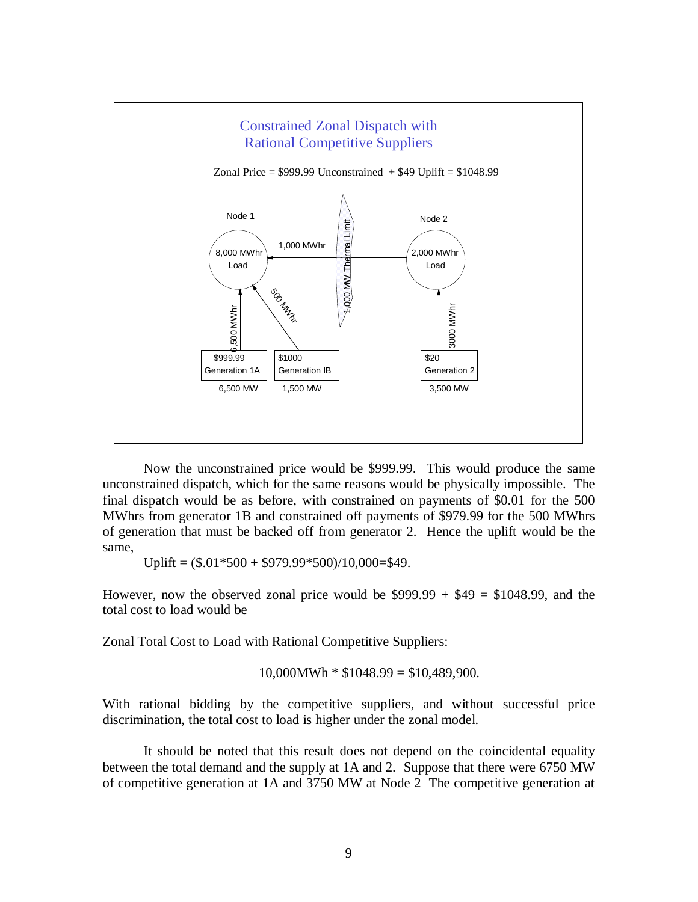

Now the unconstrained price would be \$999.99. This would produce the same unconstrained dispatch, which for the same reasons would be physically impossible. The final dispatch would be as before, with constrained on payments of \$0.01 for the 500 MWhrs from generator 1B and constrained off payments of \$979.99 for the 500 MWhrs of generation that must be backed off from generator 2. Hence the uplift would be the same,

Uplift =  $(\$.01*500 + \$979.99*500)/10,000=\$49$ .

However, now the observed zonal price would be  $$999.99 + $49 = $1048.99$ , and the total cost to load would be

Zonal Total Cost to Load with Rational Competitive Suppliers:

 $10,000MWh * $1048.99 = $10,489,900.$ 

With rational bidding by the competitive suppliers, and without successful price discrimination, the total cost to load is higher under the zonal model.

It should be noted that this result does not depend on the coincidental equality between the total demand and the supply at 1A and 2. Suppose that there were 6750 MW of competitive generation at 1A and 3750 MW at Node 2 The competitive generation at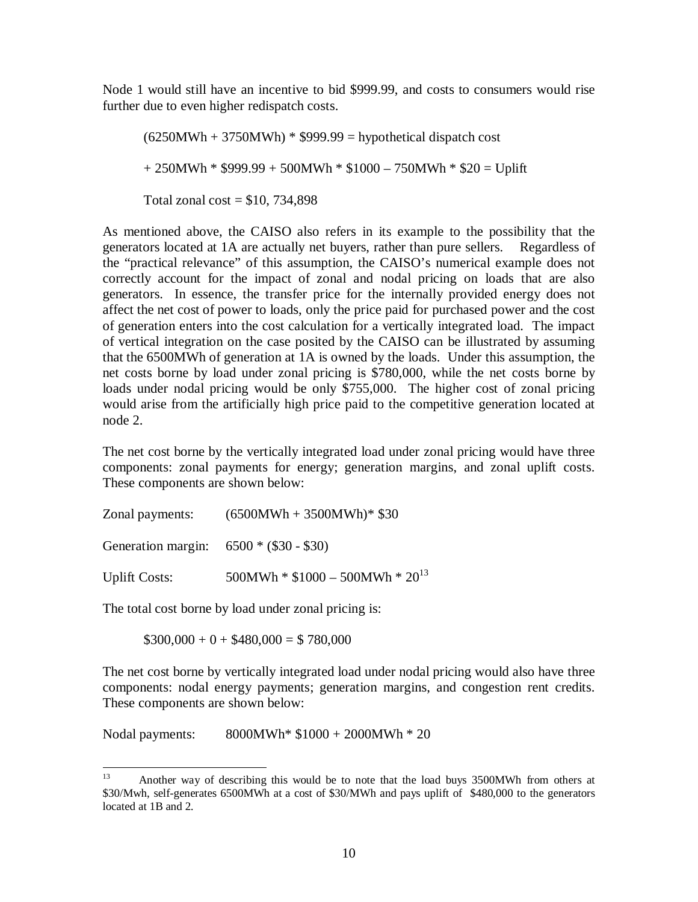Node 1 would still have an incentive to bid \$999.99, and costs to consumers would rise further due to even higher redispatch costs.

 $(6250MWh + 3750MWh) * $999.99$  = hypothetical dispatch cost + 250MWh \* \$999.99 + 500MWh \* \$1000 – 750MWh \* \$20 = Uplift Total zonal cost =  $$10, 734,898$ 

As mentioned above, the CAISO also refers in its example to the possibility that the generators located at 1A are actually net buyers, rather than pure sellers. Regardless of the "practical relevance" of this assumption, the CAISO's numerical example does not correctly account for the impact of zonal and nodal pricing on loads that are also generators. In essence, the transfer price for the internally provided energy does not affect the net cost of power to loads, only the price paid for purchased power and the cost of generation enters into the cost calculation for a vertically integrated load. The impact of vertical integration on the case posited by the CAISO can be illustrated by assuming that the 6500MWh of generation at 1A is owned by the loads. Under this assumption, the net costs borne by load under zonal pricing is \$780,000, while the net costs borne by loads under nodal pricing would be only \$755,000. The higher cost of zonal pricing would arise from the artificially high price paid to the competitive generation located at node 2.

The net cost borne by the vertically integrated load under zonal pricing would have three components: zonal payments for energy; generation margins, and zonal uplift costs. These components are shown below:

| Zonal payments: | $(6500MWh + 3500MWh)*$ \$30 |
|-----------------|-----------------------------|
|-----------------|-----------------------------|

Generation margin: 6500 \* (\$30 - \$30)

Uplift Costs:  $500MWh * $1000 - 500MWh * 20^{13}$ 

The total cost borne by load under zonal pricing is:

 $$300,000 + 0 + $480,000 = $780,000$ 

The net cost borne by vertically integrated load under nodal pricing would also have three components: nodal energy payments; generation margins, and congestion rent credits. These components are shown below:

Nodal payments: 8000MWh\* \$1000 + 2000MWh \* 20

 $13<sup>°</sup>$ 13 Another way of describing this would be to note that the load buys 3500MWh from others at \$30/Mwh, self-generates 6500MWh at a cost of \$30/MWh and pays uplift of \$480,000 to the generators located at 1B and 2.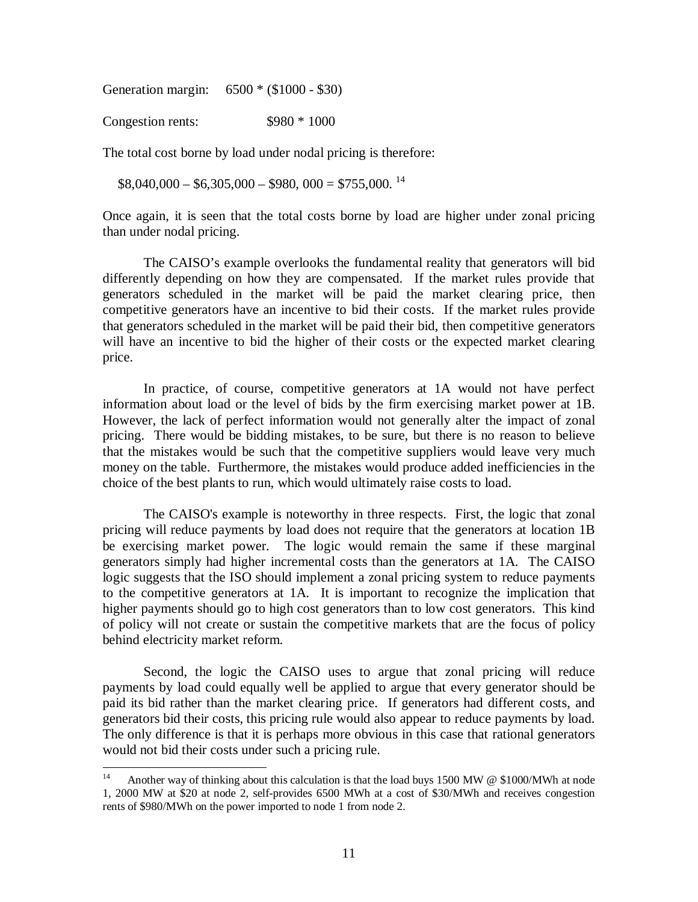Generation margin: 6500 \* (\$1000 - \$30)

Congestion rents:  $$980 * 1000$ 

The total cost borne by load under nodal pricing is therefore:

 $$8,040,000 - $6,305,000 - $980,000 = $755,000.$ <sup>14</sup>

Once again, it is seen that the total costs borne by load are higher under zonal pricing than under nodal pricing.

The CAISO's example overlooks the fundamental reality that generators will bid differently depending on how they are compensated. If the market rules provide that generators scheduled in the market will be paid the market clearing price, then competitive generators have an incentive to bid their costs. If the market rules provide that generators scheduled in the market will be paid their bid, then competitive generators will have an incentive to bid the higher of their costs or the expected market clearing price.

In practice, of course, competitive generators at 1A would not have perfect information about load or the level of bids by the firm exercising market power at 1B. However, the lack of perfect information would not generally alter the impact of zonal pricing. There would be bidding mistakes, to be sure, but there is no reason to believe that the mistakes would be such that the competitive suppliers would leave very much money on the table. Furthermore, the mistakes would produce added inefficiencies in the choice of the best plants to run, which would ultimately raise costs to load.

The CAISO's example is noteworthy in three respects. First, the logic that zonal pricing will reduce payments by load does not require that the generators at location 1B be exercising market power. The logic would remain the same if these marginal generators simply had higher incremental costs than the generators at 1A. The CAISO logic suggests that the ISO should implement a zonal pricing system to reduce payments to the competitive generators at 1A. It is important to recognize the implication that higher payments should go to high cost generators than to low cost generators. This kind of policy will not create or sustain the competitive markets that are the focus of policy behind electricity market reform.

Second, the logic the CAISO uses to argue that zonal pricing will reduce payments by load could equally well be applied to argue that every generator should be paid its bid rather than the market clearing price. If generators had different costs, and generators bid their costs, this pricing rule would also appear to reduce payments by load. The only difference is that it is perhaps more obvious in this case that rational generators would not bid their costs under such a pricing rule.

 $14$ Another way of thinking about this calculation is that the load buys 1500 MW  $\circ$  \$1000/MWh at node 1, 2000 MW at \$20 at node 2, self-provides 6500 MWh at a cost of \$30/MWh and receives congestion rents of \$980/MWh on the power imported to node 1 from node 2.